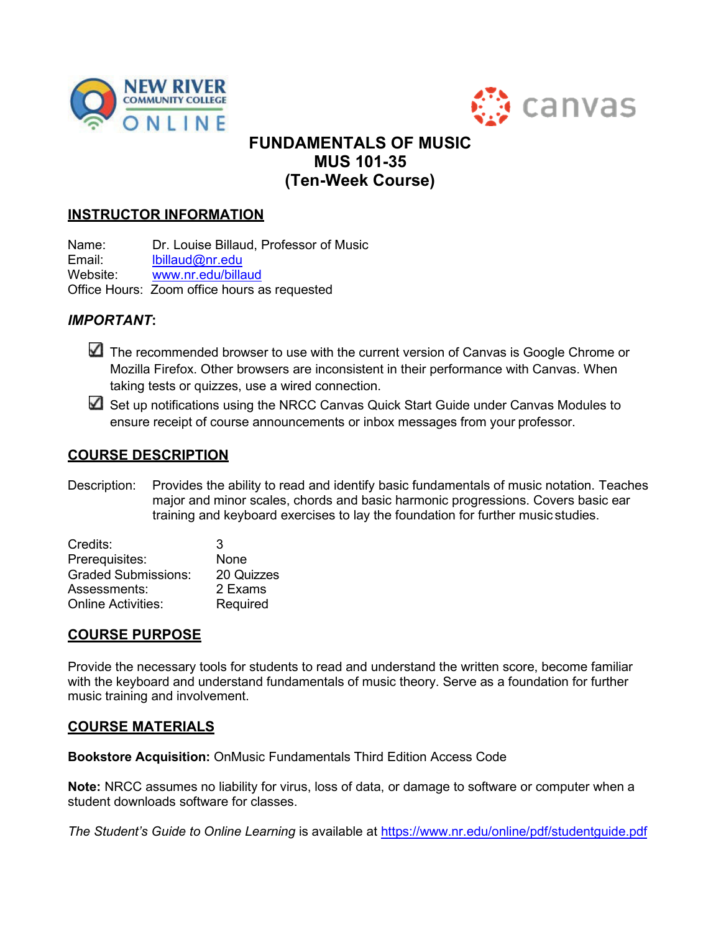



# **FUNDAMENTALS OF MUSIC MUS 101-35 (Ten-Week Course)**

## **INSTRUCTOR INFORMATION**

Name: Dr. Louise Billaud, Professor of Music<br>Email: loillaud@nr.edu Email: [lbillaud@nr.edu](mailto:lbillaud@nr.edu)<br>Website: www.nr.edu/billa [www.nr.edu/billaud](http://www.nr.edu/billaud) Office Hours: Zoom office hours as requested

## *IMPORTANT***:**

The recommended browser to use with the current version of Canvas is Google Chrome or Mozilla Firefox. Other browsers are inconsistent in their performance with Canvas. When taking tests or quizzes, use a wired connection.

Set up notifications using the NRCC Canvas Quick Start Guide under Canvas Modules to ensure receipt of course announcements or inbox messages from your professor.

## **COURSE DESCRIPTION**

Description: Provides the ability to read and identify basic fundamentals of music notation. Teaches major and minor scales, chords and basic harmonic progressions. Covers basic ear training and keyboard exercises to lay the foundation for further music studies.

| Credits:                   | 3          |
|----------------------------|------------|
| Prerequisites:             | None       |
| <b>Graded Submissions:</b> | 20 Quizzes |
| Assessments:               | 2 Exams    |
| <b>Online Activities:</b>  | Required   |

## **COURSE PURPOSE**

Provide the necessary tools for students to read and understand the written score, become familiar with the keyboard and understand fundamentals of music theory. Serve as a foundation for further music training and involvement.

### **COURSE MATERIALS**

**Bookstore Acquisition:** OnMusic Fundamentals Third Edition Access Code

**Note:** NRCC assumes no liability for virus, loss of data, or damage to software or computer when a student downloads software for classes.

*The Student's Guide to Online Learning* is available at<https://www.nr.edu/online/pdf/studentguide.pdf>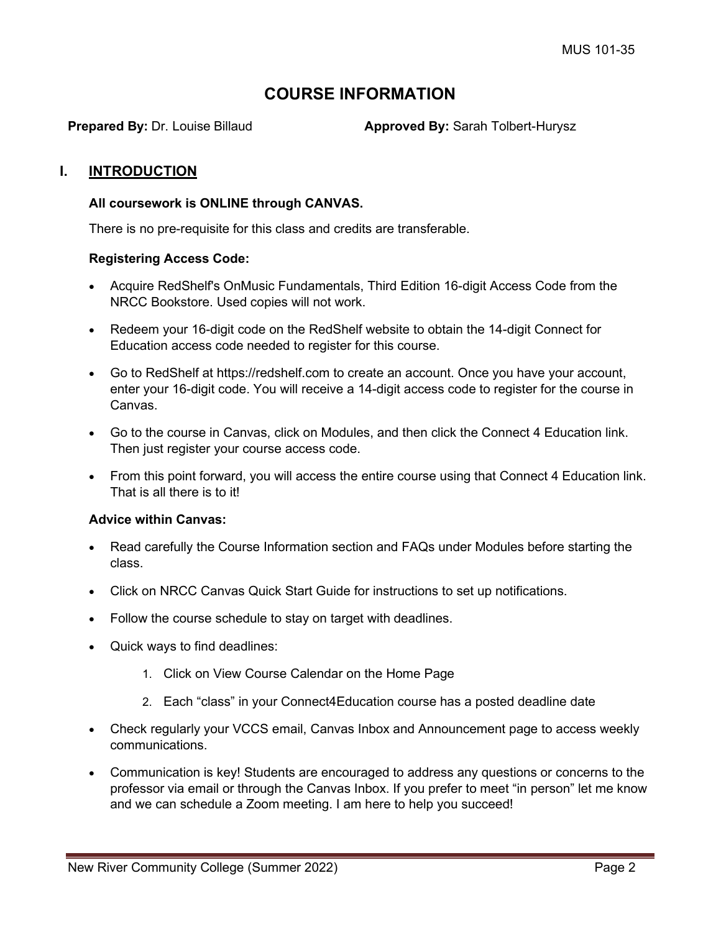# **COURSE INFORMATION**

**Prepared By:** Dr. Louise Billaud **Approved By:** Sarah Tolbert-Hurysz

### **I. INTRODUCTION**

#### **All coursework is ONLINE through CANVAS.**

There is no pre-requisite for this class and credits are transferable.

#### **Registering Access Code:**

- Acquire RedShelf's OnMusic Fundamentals, Third Edition 16-digit Access Code from the NRCC Bookstore. Used copies will not work.
- Redeem your 16-digit code on the RedShelf website to obtain the 14-digit Connect for Education access code needed to register for this course.
- Go to RedShelf at https://redshelf.com to create an account. Once you have your account, enter your 16-digit code. You will receive a 14-digit access code to register for the course in Canvas.
- Go to the course in Canvas, click on Modules, and then click the Connect 4 Education link. Then just register your course access code.
- From this point forward, you will access the entire course using that Connect 4 Education link. That is all there is to it!

#### **Advice within Canvas:**

- Read carefully the Course Information section and FAQs under Modules before starting the class.
- Click on NRCC Canvas Quick Start Guide for instructions to set up notifications.
- Follow the course schedule to stay on target with deadlines.
- Quick ways to find deadlines:
	- 1. Click on View Course Calendar on the Home Page
	- 2. Each "class" in your Connect4Education course has a posted deadline date
- Check regularly your VCCS email, Canvas Inbox and Announcement page to access weekly communications.
- Communication is key! Students are encouraged to address any questions or concerns to the professor via email or through the Canvas Inbox. If you prefer to meet "in person" let me know and we can schedule a Zoom meeting. I am here to help you succeed!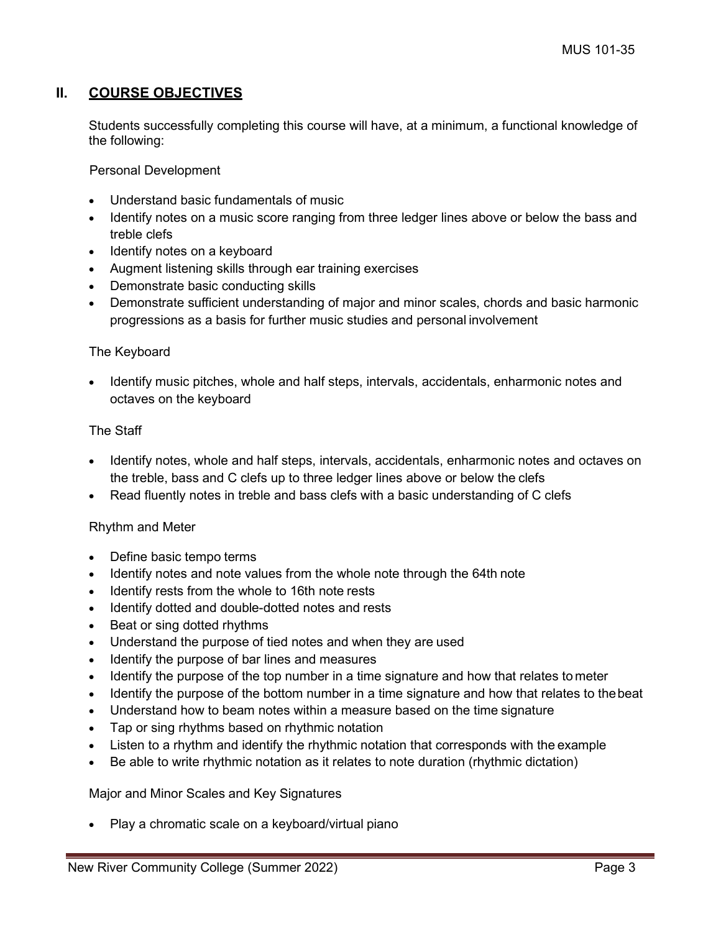## **II. COURSE OBJECTIVES**

Students successfully completing this course will have, at a minimum, a functional knowledge of the following:

Personal Development

- Understand basic fundamentals of music
- Identify notes on a music score ranging from three ledger lines above or below the bass and treble clefs
- Identify notes on a keyboard
- Augment listening skills through ear training exercises
- Demonstrate basic conducting skills
- Demonstrate sufficient understanding of major and minor scales, chords and basic harmonic progressions as a basis for further music studies and personal involvement

#### The Keyboard

• Identify music pitches, whole and half steps, intervals, accidentals, enharmonic notes and octaves on the keyboard

#### The Staff

- Identify notes, whole and half steps, intervals, accidentals, enharmonic notes and octaves on the treble, bass and C clefs up to three ledger lines above or below the clefs
- Read fluently notes in treble and bass clefs with a basic understanding of C clefs

#### Rhythm and Meter

- Define basic tempo terms
- Identify notes and note values from the whole note through the 64th note
- Identify rests from the whole to 16th note rests
- Identify dotted and double-dotted notes and rests
- Beat or sing dotted rhythms
- Understand the purpose of tied notes and when they are used
- Identify the purpose of bar lines and measures
- Identify the purpose of the top number in a time signature and how that relates to meter
- Identify the purpose of the bottom number in a time signature and how that relates to thebeat
- Understand how to beam notes within a measure based on the time signature
- Tap or sing rhythms based on rhythmic notation
- Listen to a rhythm and identify the rhythmic notation that corresponds with the example
- Be able to write rhythmic notation as it relates to note duration (rhythmic dictation)

#### Major and Minor Scales and Key Signatures

• Play a chromatic scale on a keyboard/virtual piano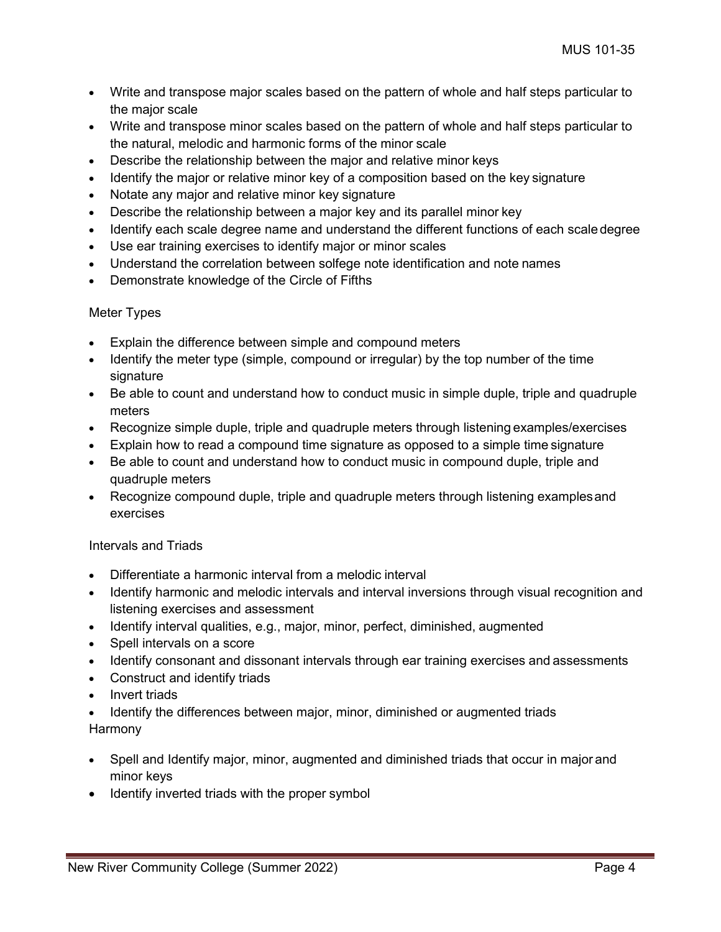- Write and transpose major scales based on the pattern of whole and half steps particular to the major scale
- Write and transpose minor scales based on the pattern of whole and half steps particular to the natural, melodic and harmonic forms of the minor scale
- Describe the relationship between the major and relative minor keys
- Identify the major or relative minor key of a composition based on the key signature
- Notate any major and relative minor key signature
- Describe the relationship between a major key and its parallel minor key
- Identify each scale degree name and understand the different functions of each scaledegree
- Use ear training exercises to identify major or minor scales
- Understand the correlation between solfege note identification and note names
- Demonstrate knowledge of the Circle of Fifths

### Meter Types

- Explain the difference between simple and compound meters
- Identify the meter type (simple, compound or irregular) by the top number of the time signature
- Be able to count and understand how to conduct music in simple duple, triple and quadruple meters
- Recognize simple duple, triple and quadruple meters through listening examples/exercises
- Explain how to read a compound time signature as opposed to a simple time signature
- Be able to count and understand how to conduct music in compound duple, triple and quadruple meters
- Recognize compound duple, triple and quadruple meters through listening examples and exercises

## Intervals and Triads

- Differentiate a harmonic interval from a melodic interval
- Identify harmonic and melodic intervals and interval inversions through visual recognition and listening exercises and assessment
- Identify interval qualities, e.g., major, minor, perfect, diminished, augmented
- Spell intervals on a score
- Identify consonant and dissonant intervals through ear training exercises and assessments
- Construct and identify triads
- Invert triads
- Identify the differences between major, minor, diminished or augmented triads Harmony
- Spell and Identify major, minor, augmented and diminished triads that occur in major and minor keys
- Identify inverted triads with the proper symbol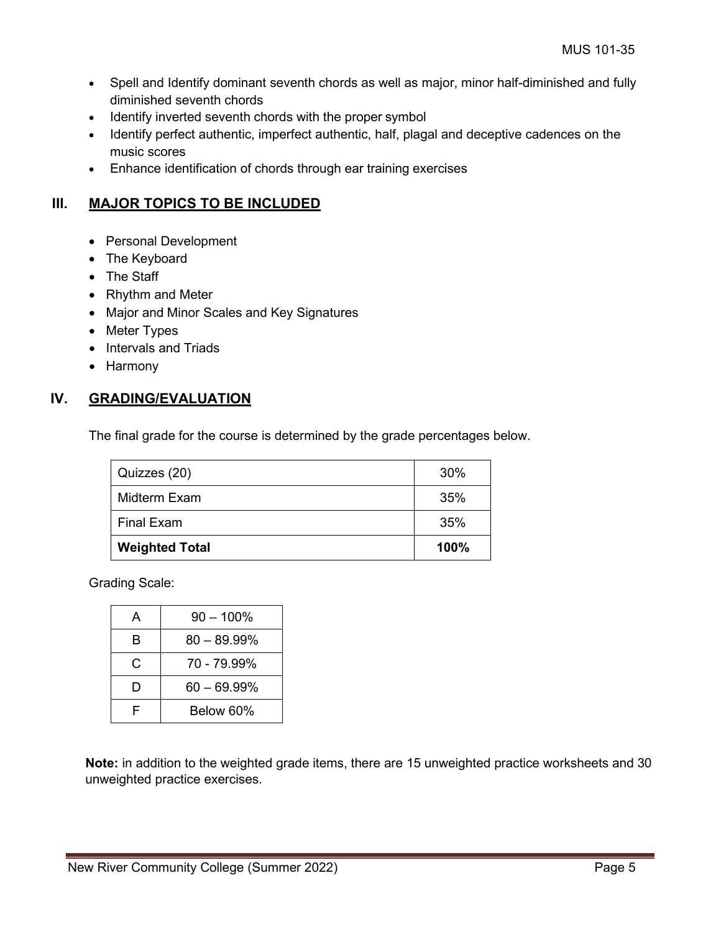- Spell and Identify dominant seventh chords as well as major, minor half-diminished and fully diminished seventh chords
- Identify inverted seventh chords with the proper symbol
- Identify perfect authentic, imperfect authentic, half, plagal and deceptive cadences on the music scores
- Enhance identification of chords through ear training exercises

## **III. MAJOR TOPICS TO BE INCLUDED**

- Personal Development
- The Keyboard
- The Staff
- Rhythm and Meter
- Major and Minor Scales and Key Signatures
- Meter Types
- Intervals and Triads
- Harmony

## **IV. GRADING/EVALUATION**

The final grade for the course is determined by the grade percentages below.

| Quizzes (20)          | 30%  |
|-----------------------|------|
| Midterm Exam          | 35%  |
| <b>Final Exam</b>     | 35%  |
| <b>Weighted Total</b> | 100% |

Grading Scale:

| А | $90 - 100\%$   |
|---|----------------|
| B | $80 - 89.99\%$ |
| C | 70 - 79.99%    |
| D | $60 - 69.99\%$ |
|   | Below 60%      |

**Note:** in addition to the weighted grade items, there are 15 unweighted practice worksheets and 30 unweighted practice exercises.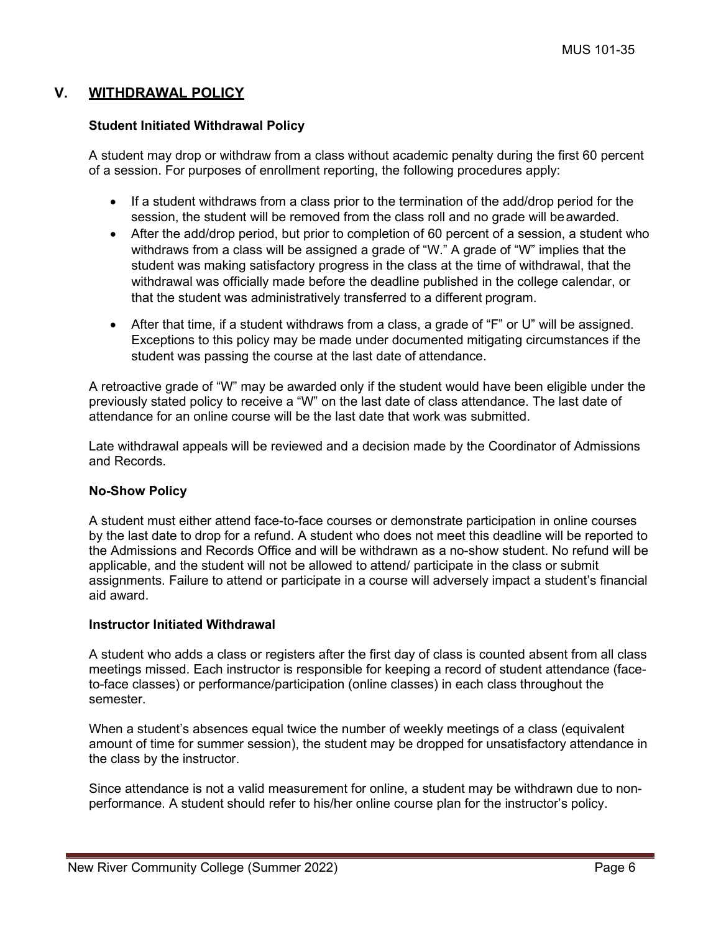## **V. WITHDRAWAL POLICY**

#### **Student Initiated Withdrawal Policy**

A student may drop or withdraw from a class without academic penalty during the first 60 percent of a session. For purposes of enrollment reporting, the following procedures apply:

- If a student withdraws from a class prior to the termination of the add/drop period for the session, the student will be removed from the class roll and no grade will beawarded.
- After the add/drop period, but prior to completion of 60 percent of a session, a student who withdraws from a class will be assigned a grade of "W." A grade of "W" implies that the student was making satisfactory progress in the class at the time of withdrawal, that the withdrawal was officially made before the deadline published in the college calendar, or that the student was administratively transferred to a different program.
- After that time, if a student withdraws from a class, a grade of "F" or U" will be assigned. Exceptions to this policy may be made under documented mitigating circumstances if the student was passing the course at the last date of attendance.

A retroactive grade of "W" may be awarded only if the student would have been eligible under the previously stated policy to receive a "W" on the last date of class attendance. The last date of attendance for an online course will be the last date that work was submitted.

Late withdrawal appeals will be reviewed and a decision made by the Coordinator of Admissions and Records.

#### **No-Show Policy**

A student must either attend face-to-face courses or demonstrate participation in online courses by the last date to drop for a refund. A student who does not meet this deadline will be reported to the Admissions and Records Office and will be withdrawn as a no-show student. No refund will be applicable, and the student will not be allowed to attend/ participate in the class or submit assignments. Failure to attend or participate in a course will adversely impact a student's financial aid award.

#### **Instructor Initiated Withdrawal**

A student who adds a class or registers after the first day of class is counted absent from all class meetings missed. Each instructor is responsible for keeping a record of student attendance (faceto-face classes) or performance/participation (online classes) in each class throughout the semester.

When a student's absences equal twice the number of weekly meetings of a class (equivalent amount of time for summer session), the student may be dropped for unsatisfactory attendance in the class by the instructor.

Since attendance is not a valid measurement for online, a student may be withdrawn due to nonperformance. A student should refer to his/her online course plan for the instructor's policy.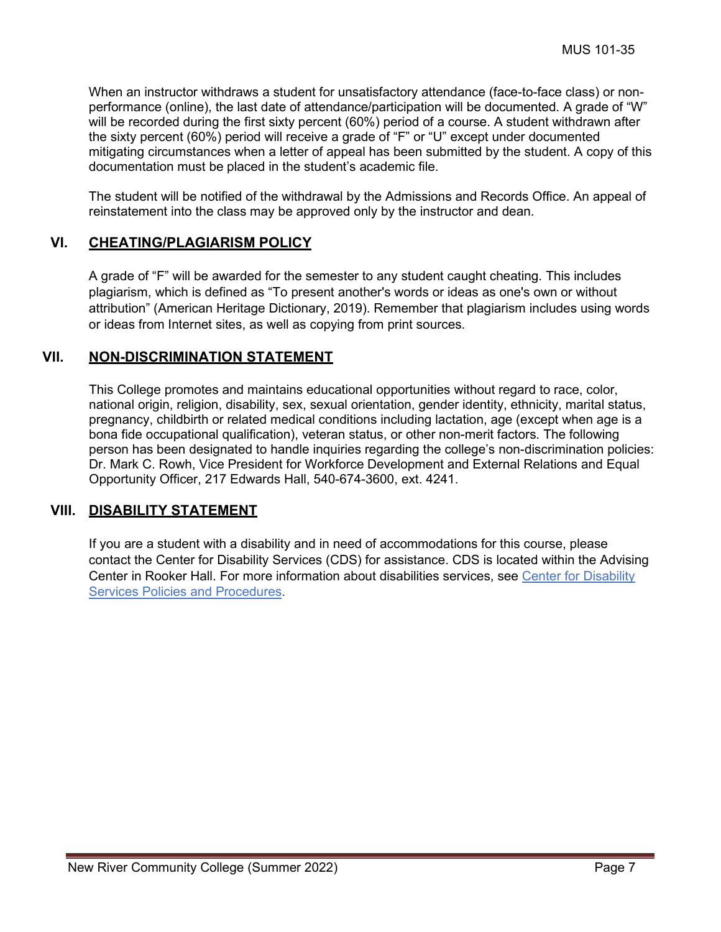When an instructor withdraws a student for unsatisfactory attendance (face-to-face class) or nonperformance (online), the last date of attendance/participation will be documented. A grade of "W" will be recorded during the first sixty percent (60%) period of a course. A student withdrawn after the sixty percent (60%) period will receive a grade of "F" or "U" except under documented mitigating circumstances when a letter of appeal has been submitted by the student. A copy of this documentation must be placed in the student's academic file.

The student will be notified of the withdrawal by the Admissions and Records Office. An appeal of reinstatement into the class may be approved only by the instructor and dean.

### **VI. CHEATING/PLAGIARISM POLICY**

A grade of "F" will be awarded for the semester to any student caught cheating. This includes plagiarism, which is defined as "To present another's words or ideas as one's own or without attribution" (American Heritage Dictionary, 2019). Remember that plagiarism includes using words or ideas from Internet sites, as well as copying from print sources.

## **VII. NON-DISCRIMINATION STATEMENT**

This College promotes and maintains educational opportunities without regard to race, color, national origin, religion, disability, sex, sexual orientation, gender identity, ethnicity, marital status, pregnancy, childbirth or related medical conditions including lactation, age (except when age is a bona fide occupational qualification), veteran status, or other non-merit factors. The following person has been designated to handle inquiries regarding the college's non-discrimination policies: Dr. Mark C. Rowh, Vice President for Workforce Development and External Relations and Equal Opportunity Officer, 217 Edwards Hall, 540-674-3600, ext. 4241.

## **VIII. DISABILITY STATEMENT**

If you are a student with a disability and in need of accommodations for this course, please contact the Center for Disability Services (CDS) for assistance. CDS is located within the Advising Center in Rooker Hall. For more information about disabilities services, see [Center for Disability](https://catalog.nr.edu/content.php?catoid=24&navoid=1418&hl=%22disability%2B%22&returnto=search¢er-for-disability-services) [Services Policies and Procedures.](https://catalog.nr.edu/content.php?catoid=24&navoid=1418&hl=%22disability%2B%22&returnto=search¢er-for-disability-services)